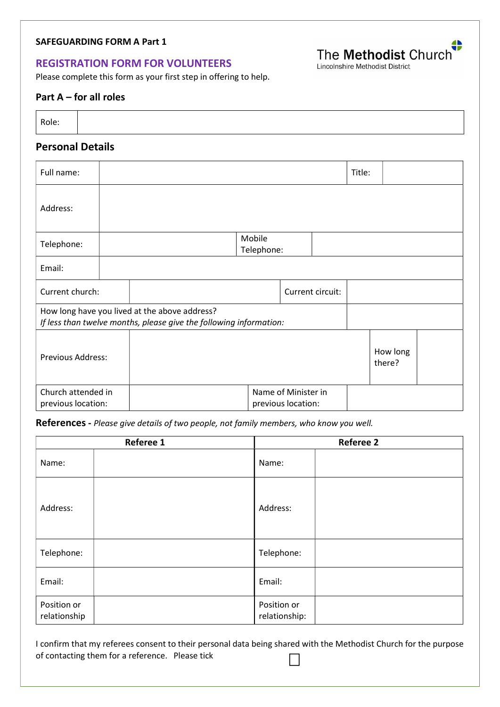## SAFEGUARDING FORM A Part 1

## REGISTRATION FORM FOR VOLUNTEERS

Please complete this form as your first step in offering to help.

## Part A – for all roles

| Role: |  |
|-------|--|
|       |  |
|       |  |
|       |  |

# Personal Details

| Full name:                                                                                                          |  |                                           |  |  |  | Title: |                    |  |
|---------------------------------------------------------------------------------------------------------------------|--|-------------------------------------------|--|--|--|--------|--------------------|--|
| Address:                                                                                                            |  |                                           |  |  |  |        |                    |  |
| Telephone:                                                                                                          |  | Mobile<br>Telephone:                      |  |  |  |        |                    |  |
| Email:                                                                                                              |  |                                           |  |  |  |        |                    |  |
| Current church:                                                                                                     |  | Current circuit:                          |  |  |  |        |                    |  |
| How long have you lived at the above address?<br>If less than twelve months, please give the following information: |  |                                           |  |  |  |        |                    |  |
| <b>Previous Address:</b>                                                                                            |  |                                           |  |  |  |        | How long<br>there? |  |
| Church attended in<br>previous location:                                                                            |  | Name of Minister in<br>previous location: |  |  |  |        |                    |  |

References - Please give details of two people, not family members, who know you well.

|                             | Referee 1 | <b>Referee 2</b>             |  |  |
|-----------------------------|-----------|------------------------------|--|--|
| Name:                       |           | Name:                        |  |  |
| Address:                    |           | Address:                     |  |  |
| Telephone:                  |           | Telephone:                   |  |  |
| Email:                      |           | Email:                       |  |  |
| Position or<br>relationship |           | Position or<br>relationship: |  |  |

I confirm that my referees consent to their personal data being shared with the Methodist Church for the purpose of contacting them for a reference. Please tick  $\sim$ 

Lincolnshire Methodist District

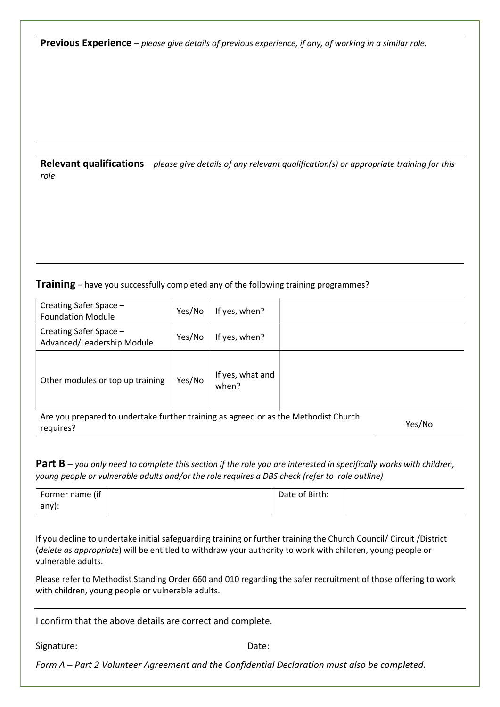Previous Experience – please give details of previous experience, if any, of working in a similar role.

Relevant qualifications – please give details of any relevant qualification(s) or appropriate training for this role

**Training** – have you successfully completed any of the following training programmes?

| Creating Safer Space -<br><b>Foundation Module</b>                                               | Yes/No | If yes, when?             |  |        |
|--------------------------------------------------------------------------------------------------|--------|---------------------------|--|--------|
| Creating Safer Space -<br>Advanced/Leadership Module                                             | Yes/No | If yes, when?             |  |        |
| Other modules or top up training                                                                 | Yes/No | If yes, what and<br>when? |  |        |
| Are you prepared to undertake further training as agreed or as the Methodist Church<br>requires? |        |                           |  | Yes/No |

**Part B** – you only need to complete this section if the role you are interested in specifically works with children, young people or vulnerable adults and/or the role requires a DBS check (refer to role outline)

| Former name (if | Date of Birth: |  |
|-----------------|----------------|--|
| any):           |                |  |

If you decline to undertake initial safeguarding training or further training the Church Council/ Circuit /District (delete as appropriate) will be entitled to withdraw your authority to work with children, young people or vulnerable adults.

Please refer to Methodist Standing Order 660 and 010 regarding the safer recruitment of those offering to work with children, young people or vulnerable adults.

I confirm that the above details are correct and complete.

Signature: Date: Date: Date:

Form A – Part 2 Volunteer Agreement and the Confidential Declaration must also be completed.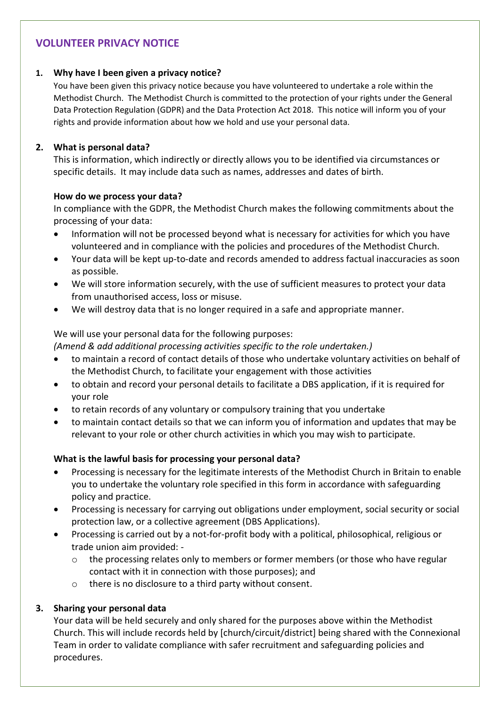## VOLUNTEER PRIVACY NOTICE

## 1. Why have I been given a privacy notice?

You have been given this privacy notice because you have volunteered to undertake a role within the Methodist Church. The Methodist Church is committed to the protection of your rights under the General Data Protection Regulation (GDPR) and the Data Protection Act 2018. This notice will inform you of your rights and provide information about how we hold and use your personal data.

## 2. What is personal data?

This is information, which indirectly or directly allows you to be identified via circumstances or specific details. It may include data such as names, addresses and dates of birth.

#### How do we process your data?

In compliance with the GDPR, the Methodist Church makes the following commitments about the processing of your data:

- Information will not be processed beyond what is necessary for activities for which you have volunteered and in compliance with the policies and procedures of the Methodist Church.
- Your data will be kept up-to-date and records amended to address factual inaccuracies as soon as possible.
- We will store information securely, with the use of sufficient measures to protect your data from unauthorised access, loss or misuse.
- We will destroy data that is no longer required in a safe and appropriate manner.

## We will use your personal data for the following purposes:

(Amend & add additional processing activities specific to the role undertaken.)

- to maintain a record of contact details of those who undertake voluntary activities on behalf of the Methodist Church, to facilitate your engagement with those activities
- to obtain and record your personal details to facilitate a DBS application, if it is required for your role
- to retain records of any voluntary or compulsory training that you undertake
- to maintain contact details so that we can inform you of information and updates that may be relevant to your role or other church activities in which you may wish to participate.

## What is the lawful basis for processing your personal data?

- Processing is necessary for the legitimate interests of the Methodist Church in Britain to enable you to undertake the voluntary role specified in this form in accordance with safeguarding policy and practice.
- Processing is necessary for carrying out obligations under employment, social security or social protection law, or a collective agreement (DBS Applications).
- Processing is carried out by a not-for-profit body with a political, philosophical, religious or trade union aim provided:
	- o the processing relates only to members or former members (or those who have regular contact with it in connection with those purposes); and
	- o there is no disclosure to a third party without consent.

## 3. Sharing your personal data

Your data will be held securely and only shared for the purposes above within the Methodist Church. This will include records held by [church/circuit/district] being shared with the Connexional Team in order to validate compliance with safer recruitment and safeguarding policies and procedures.